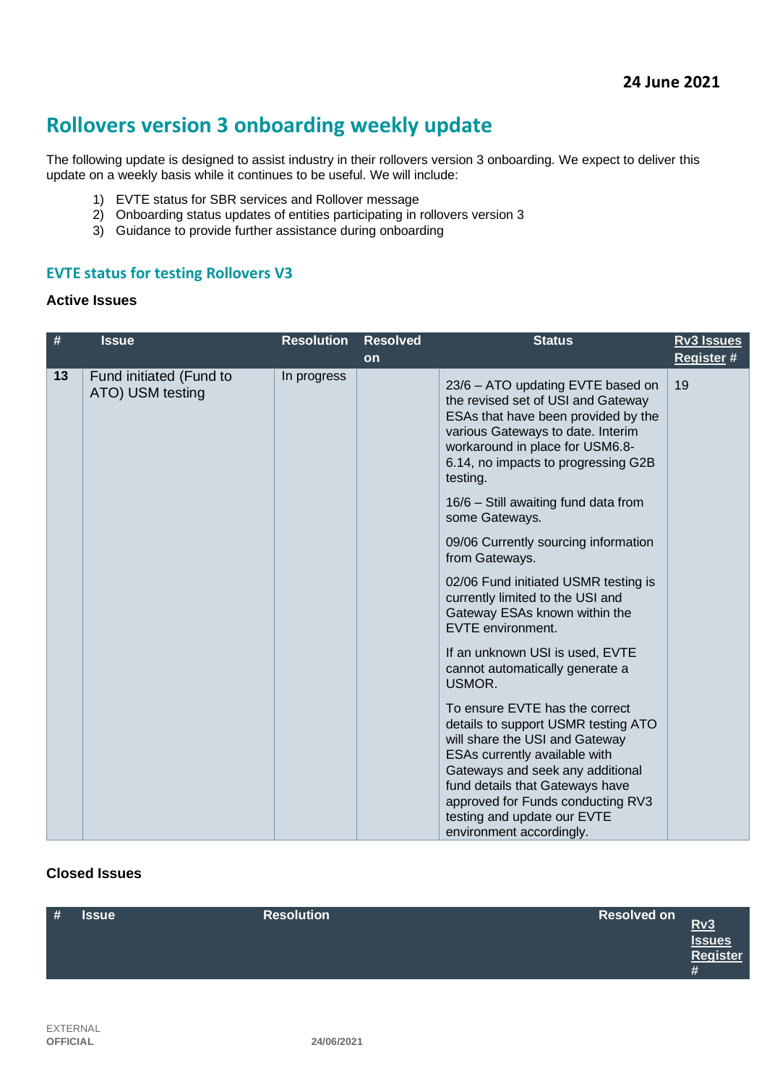# **Rollovers version 3 onboarding weekly update**

The following update is designed to assist industry in their rollovers version 3 onboarding. We expect to deliver this update on a weekly basis while it continues to be useful. We will include:

- 1) EVTE status for SBR services and Rollover message
- 2) Onboarding status updates of entities participating in rollovers version 3
- 3) Guidance to provide further assistance during onboarding

## **EVTE status for testing Rollovers V3**

#### **Active Issues**

| #  | <b>Issue</b>                                | <b>Resolution</b> | <b>Resolved</b> | <b>Status</b>                                                                                                                                                                                                                                                                                                   | <b>Rv3 Issues</b> |
|----|---------------------------------------------|-------------------|-----------------|-----------------------------------------------------------------------------------------------------------------------------------------------------------------------------------------------------------------------------------------------------------------------------------------------------------------|-------------------|
|    |                                             |                   | <b>on</b>       |                                                                                                                                                                                                                                                                                                                 | Register #        |
| 13 | Fund initiated (Fund to<br>ATO) USM testing | In progress       |                 | 23/6 - ATO updating EVTE based on<br>the revised set of USI and Gateway<br>ESAs that have been provided by the<br>various Gateways to date. Interim<br>workaround in place for USM6.8-<br>6.14, no impacts to progressing G2B<br>testing.                                                                       | 19                |
|    |                                             |                   |                 | 16/6 - Still awaiting fund data from<br>some Gateways.                                                                                                                                                                                                                                                          |                   |
|    |                                             |                   |                 | 09/06 Currently sourcing information<br>from Gateways.                                                                                                                                                                                                                                                          |                   |
|    |                                             |                   |                 | 02/06 Fund initiated USMR testing is<br>currently limited to the USI and<br>Gateway ESAs known within the<br>EVTE environment.                                                                                                                                                                                  |                   |
|    |                                             |                   |                 | If an unknown USI is used, EVTE<br>cannot automatically generate a<br>USMOR.                                                                                                                                                                                                                                    |                   |
|    |                                             |                   |                 | To ensure EVTE has the correct<br>details to support USMR testing ATO<br>will share the USI and Gateway<br>ESAs currently available with<br>Gateways and seek any additional<br>fund details that Gateways have<br>approved for Funds conducting RV3<br>testing and update our EVTE<br>environment accordingly. |                   |

## **Closed Issues**

| # | <b>Issue</b> | <b>Resolution</b> | <b>Resolved on</b> | Rv3<br>Issues<br>Register<br># |
|---|--------------|-------------------|--------------------|--------------------------------|
|   |              |                   |                    |                                |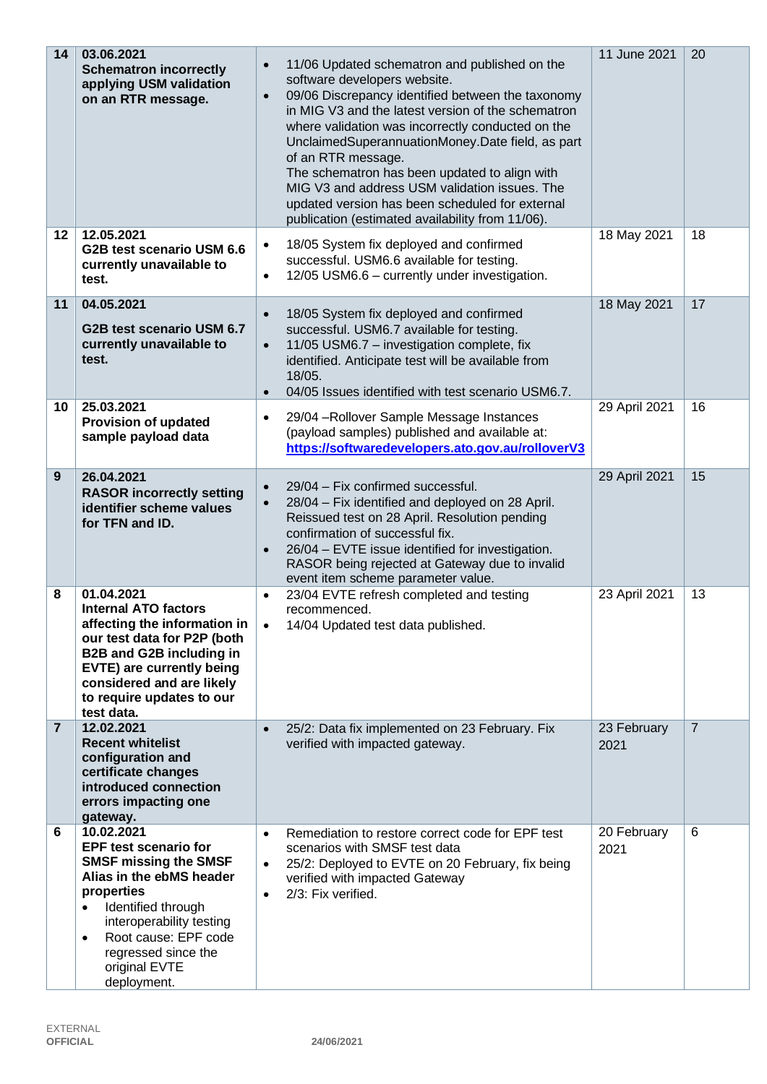| 14             | 03.06.2021<br><b>Schematron incorrectly</b><br>applying USM validation<br>on an RTR message.                                                                                                                                                                                    | 11/06 Updated schematron and published on the<br>$\bullet$<br>software developers website.<br>09/06 Discrepancy identified between the taxonomy<br>$\bullet$<br>in MIG V3 and the latest version of the schematron<br>where validation was incorrectly conducted on the<br>UnclaimedSuperannuationMoney.Date field, as part<br>of an RTR message.<br>The schematron has been updated to align with<br>MIG V3 and address USM validation issues. The<br>updated version has been scheduled for external<br>publication (estimated availability from 11/06). | 11 June 2021        | 20             |
|----------------|---------------------------------------------------------------------------------------------------------------------------------------------------------------------------------------------------------------------------------------------------------------------------------|------------------------------------------------------------------------------------------------------------------------------------------------------------------------------------------------------------------------------------------------------------------------------------------------------------------------------------------------------------------------------------------------------------------------------------------------------------------------------------------------------------------------------------------------------------|---------------------|----------------|
| $12 \,$        | 12.05.2021<br>G2B test scenario USM 6.6<br>currently unavailable to<br>test.                                                                                                                                                                                                    | 18/05 System fix deployed and confirmed<br>$\bullet$<br>successful. USM6.6 available for testing.<br>12/05 USM6.6 - currently under investigation.<br>$\bullet$                                                                                                                                                                                                                                                                                                                                                                                            | 18 May 2021         | 18             |
| 11             | 04.05.2021<br>G2B test scenario USM 6.7<br>currently unavailable to<br>test.                                                                                                                                                                                                    | 18/05 System fix deployed and confirmed<br>$\bullet$<br>successful. USM6.7 available for testing.<br>11/05 USM6.7 - investigation complete, fix<br>$\bullet$<br>identified. Anticipate test will be available from<br>18/05.<br>04/05 Issues identified with test scenario USM6.7.<br>$\bullet$                                                                                                                                                                                                                                                            | 18 May 2021         | 17             |
| 10             | 25.03.2021<br><b>Provision of updated</b><br>sample payload data                                                                                                                                                                                                                | 29/04 - Rollover Sample Message Instances<br>$\bullet$<br>(payload samples) published and available at:<br>https://softwaredevelopers.ato.gov.au/rolloverV3                                                                                                                                                                                                                                                                                                                                                                                                | 29 April 2021       | 16             |
| 9              | 26.04.2021<br><b>RASOR incorrectly setting</b><br>identifier scheme values<br>for TFN and ID.                                                                                                                                                                                   | 29/04 - Fix confirmed successful.<br>$\bullet$<br>28/04 - Fix identified and deployed on 28 April.<br>$\bullet$<br>Reissued test on 28 April. Resolution pending<br>confirmation of successful fix.<br>26/04 - EVTE issue identified for investigation.<br>$\bullet$<br>RASOR being rejected at Gateway due to invalid<br>event item scheme parameter value.                                                                                                                                                                                               | 29 April 2021       | 15             |
| 8              | 01.04.2021<br><b>Internal ATO factors</b><br>affecting the information in<br>our test data for P2P (both<br>B2B and G2B including in<br>EVTE) are currently being<br>considered and are likely<br>to require updates to our<br>test data.                                       | 23/04 EVTE refresh completed and testing<br>recommenced.<br>14/04 Updated test data published.                                                                                                                                                                                                                                                                                                                                                                                                                                                             | 23 April 2021       | 13             |
| $\overline{7}$ | 12.02.2021<br><b>Recent whitelist</b><br>configuration and<br>certificate changes<br>introduced connection<br>errors impacting one<br>gateway.                                                                                                                                  | 25/2: Data fix implemented on 23 February. Fix<br>$\bullet$<br>verified with impacted gateway.                                                                                                                                                                                                                                                                                                                                                                                                                                                             | 23 February<br>2021 | $\overline{7}$ |
| 6              | 10.02.2021<br><b>EPF test scenario for</b><br><b>SMSF missing the SMSF</b><br>Alias in the ebMS header<br>properties<br>Identified through<br>$\bullet$<br>interoperability testing<br>Root cause: EPF code<br>$\bullet$<br>regressed since the<br>original EVTE<br>deployment. | Remediation to restore correct code for EPF test<br>$\bullet$<br>scenarios with SMSF test data<br>25/2: Deployed to EVTE on 20 February, fix being<br>$\bullet$<br>verified with impacted Gateway<br>2/3: Fix verified.<br>$\bullet$                                                                                                                                                                                                                                                                                                                       | 20 February<br>2021 | 6              |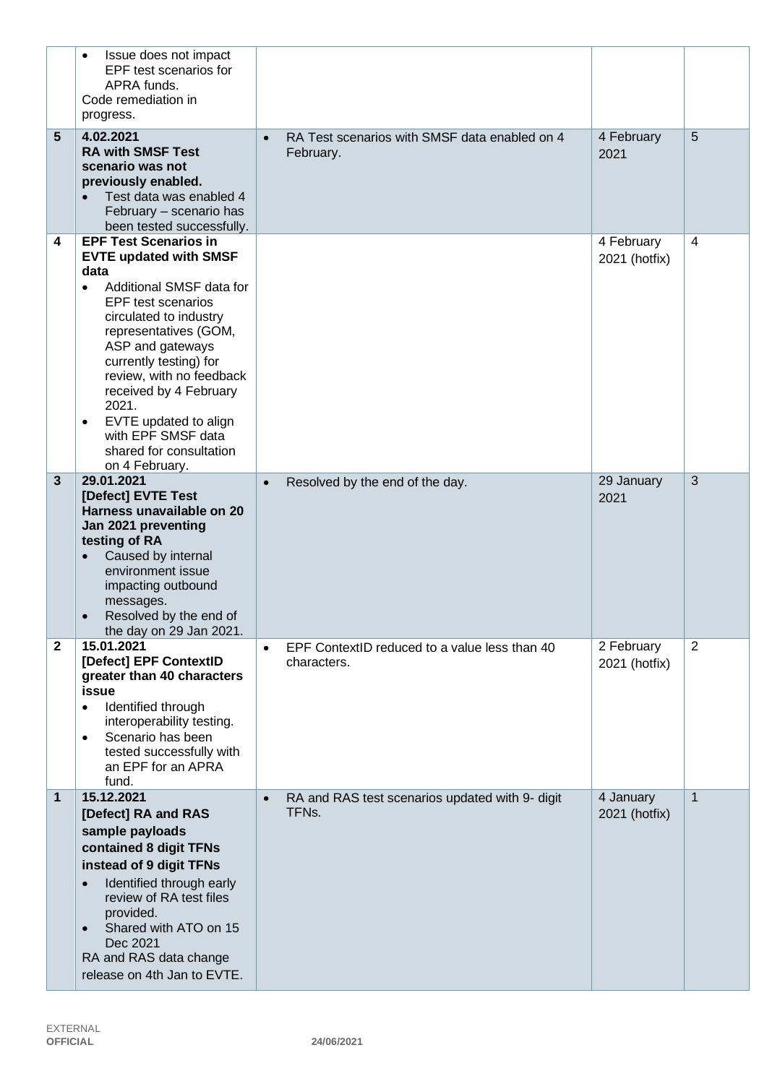|                   | Issue does not impact<br>$\bullet$<br>EPF test scenarios for<br>APRA funds.<br>Code remediation in<br>progress.                                                                                                                                                                                                                                                                                                             |           |                                                                       |                             |              |
|-------------------|-----------------------------------------------------------------------------------------------------------------------------------------------------------------------------------------------------------------------------------------------------------------------------------------------------------------------------------------------------------------------------------------------------------------------------|-----------|-----------------------------------------------------------------------|-----------------------------|--------------|
| 5                 | 4.02.2021<br><b>RA with SMSF Test</b><br>scenario was not<br>previously enabled.<br>Test data was enabled 4<br>February - scenario has<br>been tested successfully.                                                                                                                                                                                                                                                         | $\bullet$ | RA Test scenarios with SMSF data enabled on 4<br>February.            | 4 February<br>2021          | 5            |
| 4<br>$\mathbf{3}$ | <b>EPF Test Scenarios in</b><br><b>EVTE updated with SMSF</b><br>data<br>Additional SMSF data for<br>$\bullet$<br>EPF test scenarios<br>circulated to industry<br>representatives (GOM,<br>ASP and gateways<br>currently testing) for<br>review, with no feedback<br>received by 4 February<br>2021.<br>EVTE updated to align<br>$\bullet$<br>with EPF SMSF data<br>shared for consultation<br>on 4 February.<br>29.01.2021 |           |                                                                       | 4 February<br>2021 (hotfix) | 4<br>3       |
|                   | [Defect] EVTE Test<br>Harness unavailable on 20<br>Jan 2021 preventing<br>testing of RA<br>Caused by internal<br>environment issue<br>impacting outbound<br>messages.<br>Resolved by the end of<br>the day on 29 Jan 2021.                                                                                                                                                                                                  | $\bullet$ | Resolved by the end of the day.                                       | 29 January<br>2021          |              |
| 2                 | 15.01.2021<br>[Defect] EPF ContextID<br>greater than 40 characters<br>issue<br>Identified through<br>$\bullet$<br>interoperability testing.<br>Scenario has been<br>$\bullet$<br>tested successfully with<br>an EPF for an APRA<br>fund.                                                                                                                                                                                    | $\bullet$ | EPF ContextID reduced to a value less than 40<br>characters.          | 2 February<br>2021 (hotfix) | 2            |
| 1                 | 15.12.2021<br>[Defect] RA and RAS<br>sample payloads<br>contained 8 digit TFNs<br>instead of 9 digit TFNs<br>Identified through early<br>review of RA test files<br>provided.<br>Shared with ATO on 15<br>Dec 2021<br>RA and RAS data change<br>release on 4th Jan to EVTE.                                                                                                                                                 | $\bullet$ | RA and RAS test scenarios updated with 9- digit<br>TFN <sub>s</sub> . | 4 January<br>2021 (hotfix)  | $\mathbf{1}$ |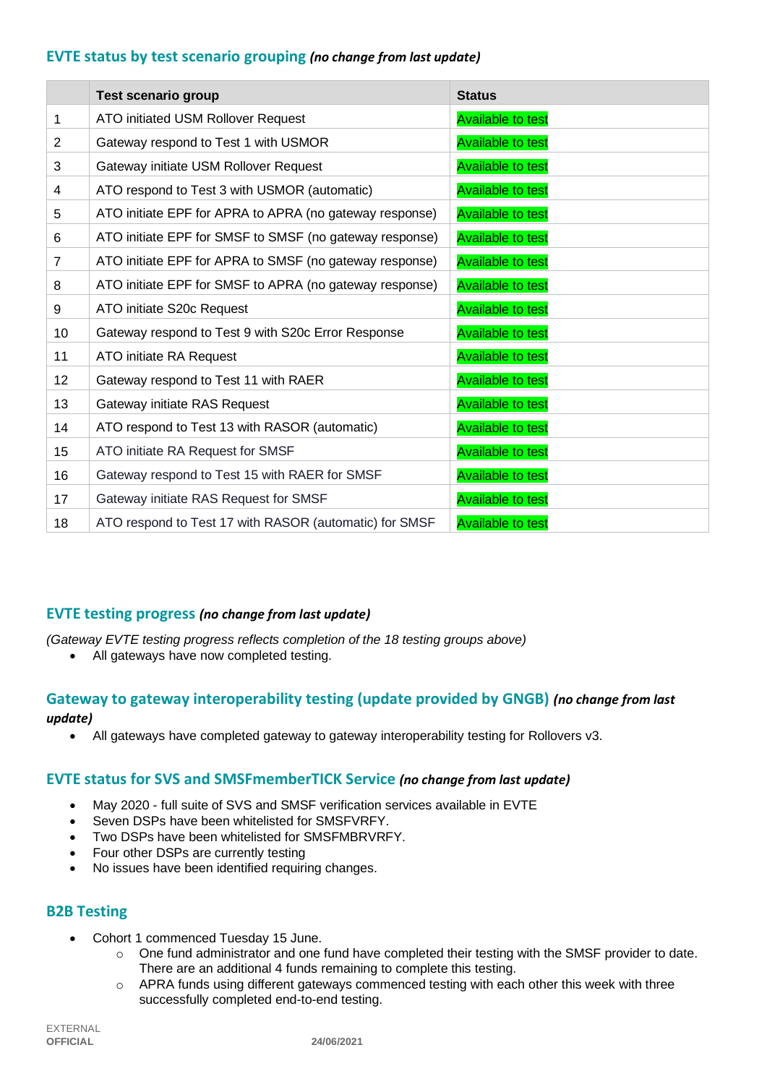## **EVTE status by test scenario grouping** *(no change from last update)*

|                 | <b>Test scenario group</b>                              | <b>Status</b>            |
|-----------------|---------------------------------------------------------|--------------------------|
| 1               | ATO initiated USM Rollover Request                      | <b>Available to test</b> |
| 2               | Gateway respond to Test 1 with USMOR                    | <b>Available to test</b> |
| 3               | Gateway initiate USM Rollover Request                   | <b>Available to test</b> |
| 4               | ATO respond to Test 3 with USMOR (automatic)            | <b>Available to test</b> |
| 5               | ATO initiate EPF for APRA to APRA (no gateway response) | <b>Available to test</b> |
| 6               | ATO initiate EPF for SMSF to SMSF (no gateway response) | <b>Available to test</b> |
| $\overline{7}$  | ATO initiate EPF for APRA to SMSF (no gateway response) | <b>Available to test</b> |
| 8               | ATO initiate EPF for SMSF to APRA (no gateway response) | <b>Available to test</b> |
| 9               | ATO initiate S20c Request                               | <b>Available to test</b> |
| 10              | Gateway respond to Test 9 with S20c Error Response      | <b>Available to test</b> |
| 11              | ATO initiate RA Request                                 | <b>Available to test</b> |
| 12 <sup>2</sup> | Gateway respond to Test 11 with RAER                    | <b>Available to test</b> |
| 13              | Gateway initiate RAS Request                            | <b>Available to test</b> |
| 14              | ATO respond to Test 13 with RASOR (automatic)           | <b>Available to test</b> |
| 15              | ATO initiate RA Request for SMSF                        | <b>Available to test</b> |
| 16              | Gateway respond to Test 15 with RAER for SMSF           | <b>Available to test</b> |
| 17              | Gateway initiate RAS Request for SMSF                   | <b>Available to test</b> |
| 18              | ATO respond to Test 17 with RASOR (automatic) for SMSF  | <b>Available to test</b> |

### **EVTE testing progress** *(no change from last update)*

*(Gateway EVTE testing progress reflects completion of the 18 testing groups above)*

• All gateways have now completed testing.

## **Gateway to gateway interoperability testing (update provided by GNGB)** *(no change from last update)*

• All gateways have completed gateway to gateway interoperability testing for Rollovers v3.

### **EVTE status for SVS and SMSFmemberTICK Service** *(no change from last update)*

- May 2020 full suite of SVS and SMSF verification services available in EVTE
- Seven DSPs have been whitelisted for SMSFVRFY.
- Two DSPs have been whitelisted for SMSFMBRVRFY.
- Four other DSPs are currently testing
- No issues have been identified requiring changes.

### **B2B Testing**

- Cohort 1 commenced Tuesday 15 June.
	- $\circ$  One fund administrator and one fund have completed their testing with the SMSF provider to date. There are an additional 4 funds remaining to complete this testing.
	- o APRA funds using different gateways commenced testing with each other this week with three successfully completed end-to-end testing.